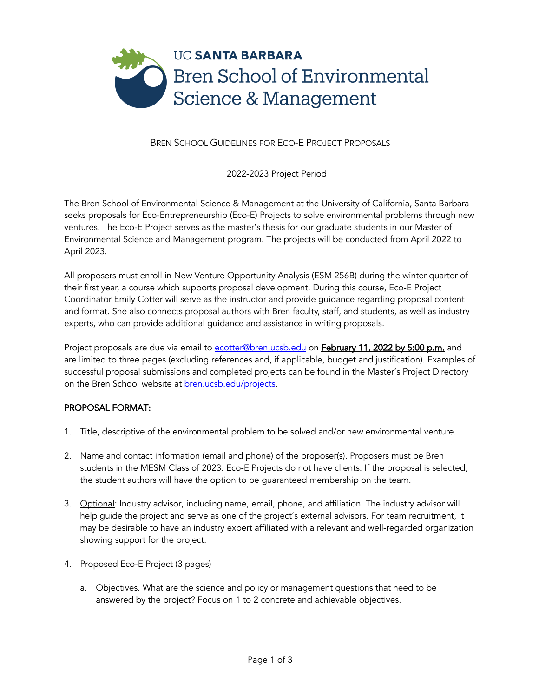

BREN SCHOOL GUIDELINES FOR ECO-E PROJECT PROPOSALS

2022-2023 Project Period

The Bren School of Environmental Science & Management at the University of California, Santa Barbara seeks proposals for Eco-Entrepreneurship (Eco-E) Projects to solve environmental problems through new ventures. The Eco-E Project serves as the master's thesis for our graduate students in our Master of Environmental Science and Management program. The projects will be conducted from April 2022 to April 2023.

All proposers must enroll in New Venture Opportunity Analysis (ESM 256B) during the winter quarter of their first year, a course which supports proposal development. During this course, Eco-E Project Coordinator Emily Cotter will serve as the instructor and provide guidance regarding proposal content and format. She also connects proposal authors with Bren faculty, staff, and students, as well as industry experts, who can provide additional guidance and assistance in writing proposals.

Project proposals are due via email to ecotter@bren.ucsb.edu on February 11, 2022 by 5:00 p.m. and are limited to three pages (excluding references and, if applicable, budget and justification). Examples of successful proposal submissions and completed projects can be found in the Master's Project Directory on the Bren School website at bren.ucsb.edu/projects.

## PROPOSAL FORMAT:

- 1. Title, descriptive of the environmental problem to be solved and/or new environmental venture.
- 2. Name and contact information (email and phone) of the proposer(s). Proposers must be Bren students in the MESM Class of 2023. Eco-E Projects do not have clients. If the proposal is selected, the student authors will have the option to be guaranteed membership on the team.
- 3. Optional: Industry advisor, including name, email, phone, and affiliation. The industry advisor will help guide the project and serve as one of the project's external advisors. For team recruitment, it may be desirable to have an industry expert affiliated with a relevant and well-regarded organization showing support for the project.
- 4. Proposed Eco-E Project (3 pages)
	- a. Objectives. What are the science and policy or management questions that need to be answered by the project? Focus on 1 to 2 concrete and achievable objectives.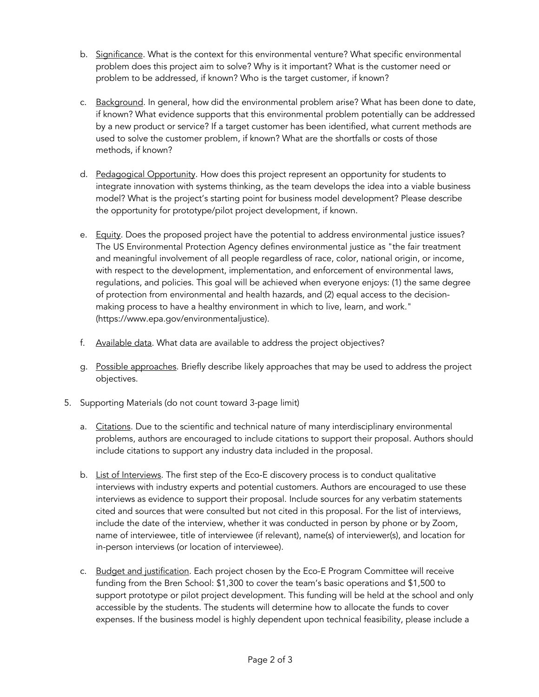- b. Significance. What is the context for this environmental venture? What specific environmental problem does this project aim to solve? Why is it important? What is the customer need or problem to be addressed, if known? Who is the target customer, if known?
- c. Background. In general, how did the environmental problem arise? What has been done to date, if known? What evidence supports that this environmental problem potentially can be addressed by a new product or service? If a target customer has been identified, what current methods are used to solve the customer problem, if known? What are the shortfalls or costs of those methods, if known?
- d. Pedagogical Opportunity. How does this project represent an opportunity for students to integrate innovation with systems thinking, as the team develops the idea into a viable business model? What is the project's starting point for business model development? Please describe the opportunity for prototype/pilot project development, if known.
- e. Equity. Does the proposed project have the potential to address environmental justice issues? The US Environmental Protection Agency defines environmental justice as "the fair treatment and meaningful involvement of all people regardless of race, color, national origin, or income, with respect to the development, implementation, and enforcement of environmental laws, regulations, and policies. This goal will be achieved when everyone enjoys: (1) the same degree of protection from environmental and health hazards, and (2) equal access to the decisionmaking process to have a healthy environment in which to live, learn, and work." (https://www.epa.gov/environmentaljustice).
- f. Available data. What data are available to address the project objectives?
- g. Possible approaches. Briefly describe likely approaches that may be used to address the project objectives.
- 5. Supporting Materials (do not count toward 3-page limit)
	- a. Citations. Due to the scientific and technical nature of many interdisciplinary environmental problems, authors are encouraged to include citations to support their proposal. Authors should include citations to support any industry data included in the proposal.
	- b. List of Interviews. The first step of the Eco-E discovery process is to conduct qualitative interviews with industry experts and potential customers. Authors are encouraged to use these interviews as evidence to support their proposal. Include sources for any verbatim statements cited and sources that were consulted but not cited in this proposal. For the list of interviews, include the date of the interview, whether it was conducted in person by phone or by Zoom, name of interviewee, title of interviewee (if relevant), name(s) of interviewer(s), and location for in-person interviews (or location of interviewee).
	- c. Budget and justification. Each project chosen by the Eco-E Program Committee will receive funding from the Bren School: \$1,300 to cover the team's basic operations and \$1,500 to support prototype or pilot project development. This funding will be held at the school and only accessible by the students. The students will determine how to allocate the funds to cover expenses. If the business model is highly dependent upon technical feasibility, please include a